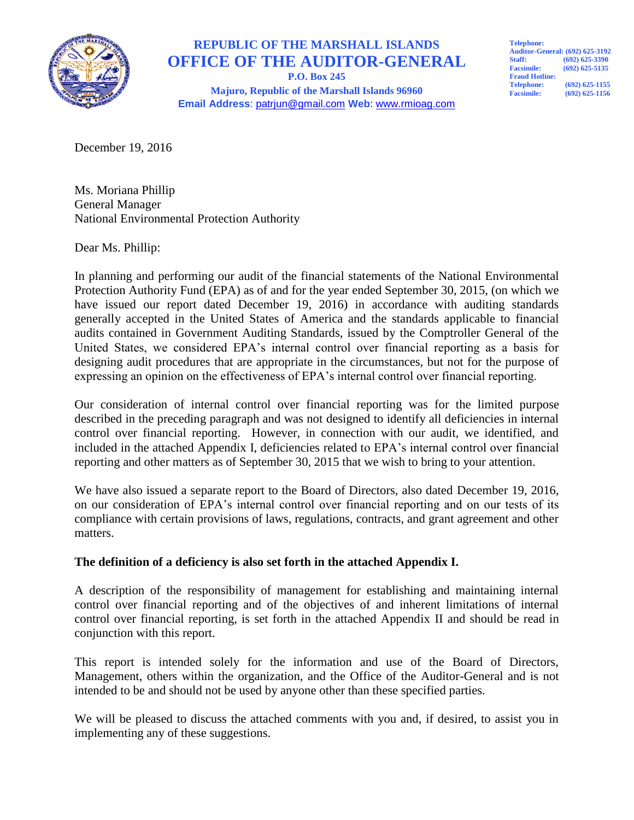

# **REPUBLIC OF THE MARSHALL ISLANDS OFFICE OF THE AUDITOR-GENERAL**

**P.O. Box 245 Majuro, Republic of the Marshall Islands 96960 Email Address**: patrjun@gmail.com **Web**: www.rmioag.com

**Telephone: Auditor-General: (692) 625-3192 Staff:** (692) 625-3390<br>Facsimile: (692) 625-5135 **Facsimile: (692) 625-5135 Fraud Hotline: Telephone:** (692) 625-1155<br>**Facsimile:** (692) 625-1156 **Facsimile: (692) 625-1156**

December 19, 2016

Ms. Moriana Phillip General Manager National Environmental Protection Authority

Dear Ms. Phillip:

In planning and performing our audit of the financial statements of the National Environmental Protection Authority Fund (EPA) as of and for the year ended September 30, 2015, (on which we have issued our report dated December 19, 2016) in accordance with auditing standards generally accepted in the United States of America and the standards applicable to financial audits contained in Government Auditing Standards, issued by the Comptroller General of the United States, we considered EPA's internal control over financial reporting as a basis for designing audit procedures that are appropriate in the circumstances, but not for the purpose of expressing an opinion on the effectiveness of EPA's internal control over financial reporting.

Our consideration of internal control over financial reporting was for the limited purpose described in the preceding paragraph and was not designed to identify all deficiencies in internal control over financial reporting. However, in connection with our audit, we identified, and included in the attached Appendix I, deficiencies related to EPA's internal control over financial reporting and other matters as of September 30, 2015 that we wish to bring to your attention.

We have also issued a separate report to the Board of Directors, also dated December 19, 2016, on our consideration of EPA's internal control over financial reporting and on our tests of its compliance with certain provisions of laws, regulations, contracts, and grant agreement and other matters.

# **The definition of a deficiency is also set forth in the attached Appendix I.**

A description of the responsibility of management for establishing and maintaining internal control over financial reporting and of the objectives of and inherent limitations of internal control over financial reporting, is set forth in the attached Appendix II and should be read in conjunction with this report.

This report is intended solely for the information and use of the Board of Directors, Management, others within the organization, and the Office of the Auditor-General and is not intended to be and should not be used by anyone other than these specified parties.

We will be pleased to discuss the attached comments with you and, if desired, to assist you in implementing any of these suggestions.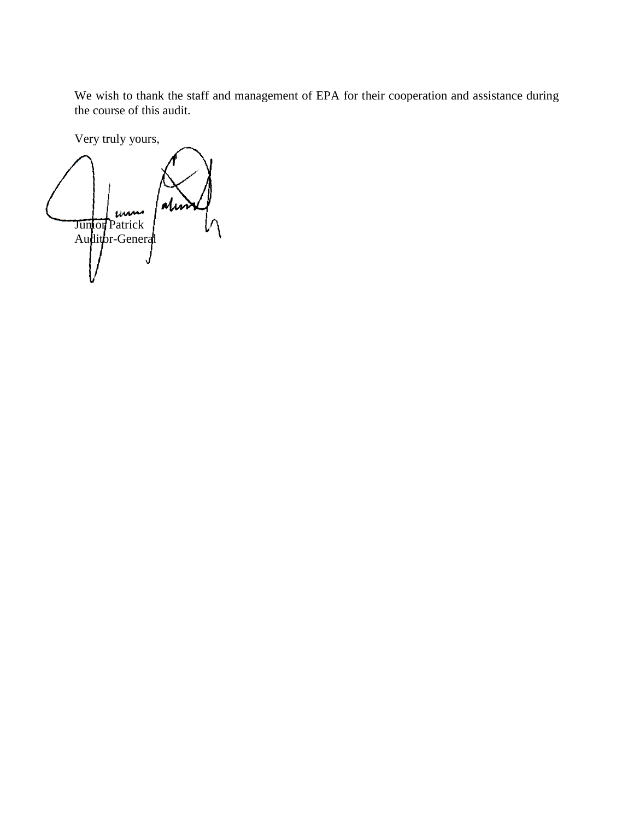We wish to thank the staff and management of EPA for their cooperation and assistance during the course of this audit.

Very truly yours, um Junior Patrick Auditor-General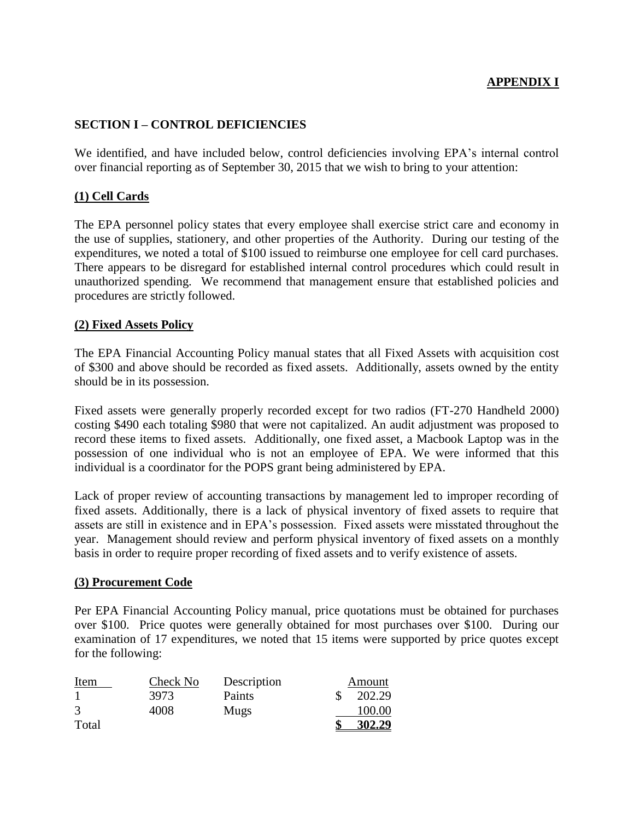# **APPENDIX I**

## **SECTION I – CONTROL DEFICIENCIES**

We identified, and have included below, control deficiencies involving EPA's internal control over financial reporting as of September 30, 2015 that we wish to bring to your attention:

#### **(1) Cell Cards**

The EPA personnel policy states that every employee shall exercise strict care and economy in the use of supplies, stationery, and other properties of the Authority. During our testing of the expenditures, we noted a total of \$100 issued to reimburse one employee for cell card purchases. There appears to be disregard for established internal control procedures which could result in unauthorized spending. We recommend that management ensure that established policies and procedures are strictly followed.

#### **(2) Fixed Assets Policy**

The EPA Financial Accounting Policy manual states that all Fixed Assets with acquisition cost of \$300 and above should be recorded as fixed assets. Additionally, assets owned by the entity should be in its possession.

Fixed assets were generally properly recorded except for two radios (FT-270 Handheld 2000) costing \$490 each totaling \$980 that were not capitalized. An audit adjustment was proposed to record these items to fixed assets. Additionally, one fixed asset, a Macbook Laptop was in the possession of one individual who is not an employee of EPA. We were informed that this individual is a coordinator for the POPS grant being administered by EPA.

Lack of proper review of accounting transactions by management led to improper recording of fixed assets. Additionally, there is a lack of physical inventory of fixed assets to require that assets are still in existence and in EPA's possession. Fixed assets were misstated throughout the year. Management should review and perform physical inventory of fixed assets on a monthly basis in order to require proper recording of fixed assets and to verify existence of assets.

#### **(3) Procurement Code**

Per EPA Financial Accounting Policy manual, price quotations must be obtained for purchases over \$100. Price quotes were generally obtained for most purchases over \$100. During our examination of 17 expenditures, we noted that 15 items were supported by price quotes except for the following:

| Item  | Check No | Description | Amount |
|-------|----------|-------------|--------|
|       | 3973     | Paints      | 202.29 |
| 3     | 4008     | Mugs        | 100.00 |
| Total |          |             | 302.29 |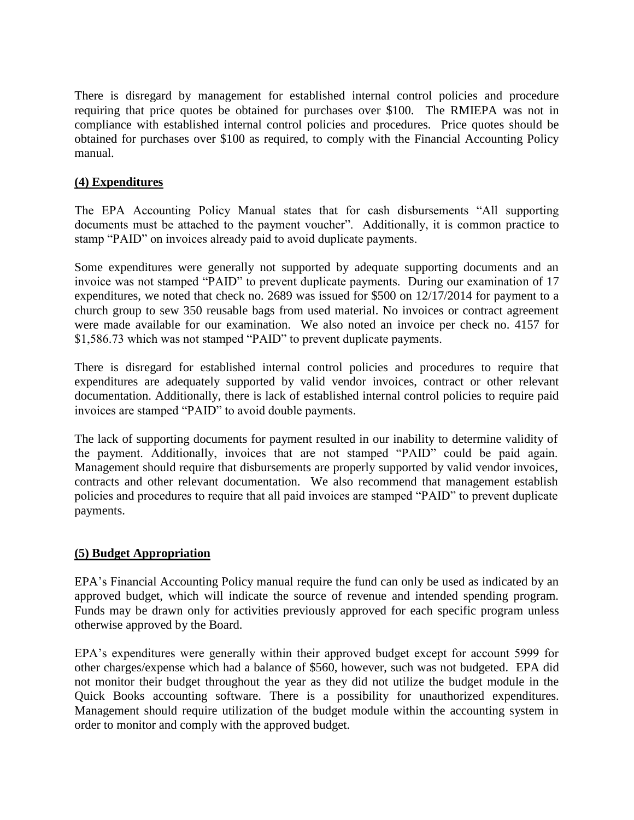There is disregard by management for established internal control policies and procedure requiring that price quotes be obtained for purchases over \$100. The RMIEPA was not in compliance with established internal control policies and procedures. Price quotes should be obtained for purchases over \$100 as required, to comply with the Financial Accounting Policy manual.

## **(4) Expenditures**

The EPA Accounting Policy Manual states that for cash disbursements "All supporting documents must be attached to the payment voucher". Additionally, it is common practice to stamp "PAID" on invoices already paid to avoid duplicate payments.

Some expenditures were generally not supported by adequate supporting documents and an invoice was not stamped "PAID" to prevent duplicate payments. During our examination of 17 expenditures, we noted that check no. 2689 was issued for \$500 on 12/17/2014 for payment to a church group to sew 350 reusable bags from used material. No invoices or contract agreement were made available for our examination. We also noted an invoice per check no. 4157 for \$1,586.73 which was not stamped "PAID" to prevent duplicate payments.

There is disregard for established internal control policies and procedures to require that expenditures are adequately supported by valid vendor invoices, contract or other relevant documentation. Additionally, there is lack of established internal control policies to require paid invoices are stamped "PAID" to avoid double payments.

The lack of supporting documents for payment resulted in our inability to determine validity of the payment. Additionally, invoices that are not stamped "PAID" could be paid again. Management should require that disbursements are properly supported by valid vendor invoices, contracts and other relevant documentation. We also recommend that management establish policies and procedures to require that all paid invoices are stamped "PAID" to prevent duplicate payments.

# **(5) Budget Appropriation**

EPA's Financial Accounting Policy manual require the fund can only be used as indicated by an approved budget, which will indicate the source of revenue and intended spending program. Funds may be drawn only for activities previously approved for each specific program unless otherwise approved by the Board.

EPA's expenditures were generally within their approved budget except for account 5999 for other charges/expense which had a balance of \$560, however, such was not budgeted. EPA did not monitor their budget throughout the year as they did not utilize the budget module in the Quick Books accounting software. There is a possibility for unauthorized expenditures. Management should require utilization of the budget module within the accounting system in order to monitor and comply with the approved budget.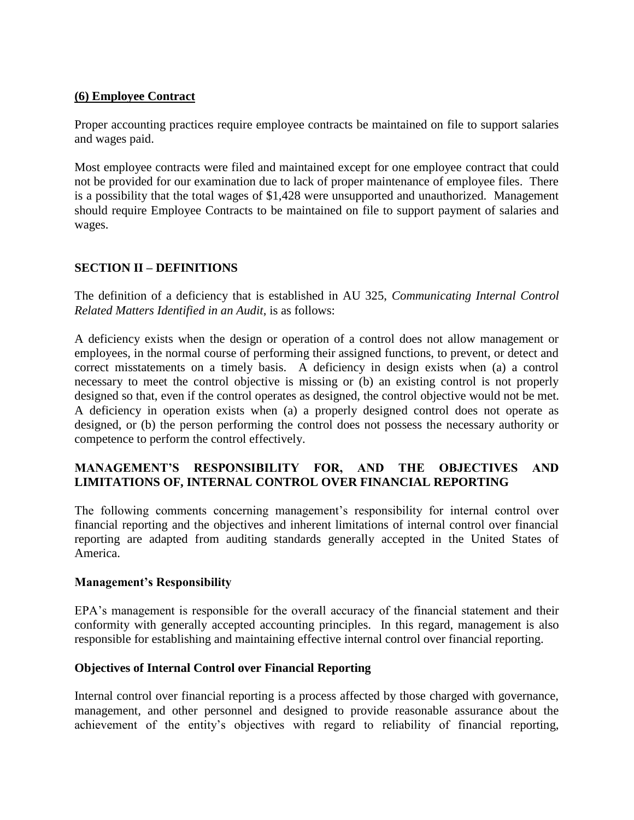#### **(6) Employee Contract**

Proper accounting practices require employee contracts be maintained on file to support salaries and wages paid.

Most employee contracts were filed and maintained except for one employee contract that could not be provided for our examination due to lack of proper maintenance of employee files. There is a possibility that the total wages of \$1,428 were unsupported and unauthorized. Management should require Employee Contracts to be maintained on file to support payment of salaries and wages.

# **SECTION II – DEFINITIONS**

The definition of a deficiency that is established in AU 325, *Communicating Internal Control Related Matters Identified in an Audit*, is as follows:

A deficiency exists when the design or operation of a control does not allow management or employees, in the normal course of performing their assigned functions, to prevent, or detect and correct misstatements on a timely basis. A deficiency in design exists when (a) a control necessary to meet the control objective is missing or (b) an existing control is not properly designed so that, even if the control operates as designed, the control objective would not be met. A deficiency in operation exists when (a) a properly designed control does not operate as designed, or (b) the person performing the control does not possess the necessary authority or competence to perform the control effectively.

# **MANAGEMENT'S RESPONSIBILITY FOR, AND THE OBJECTIVES AND LIMITATIONS OF, INTERNAL CONTROL OVER FINANCIAL REPORTING**

The following comments concerning management's responsibility for internal control over financial reporting and the objectives and inherent limitations of internal control over financial reporting are adapted from auditing standards generally accepted in the United States of America.

#### **Management's Responsibility**

EPA's management is responsible for the overall accuracy of the financial statement and their conformity with generally accepted accounting principles. In this regard, management is also responsible for establishing and maintaining effective internal control over financial reporting.

#### **Objectives of Internal Control over Financial Reporting**

Internal control over financial reporting is a process affected by those charged with governance, management, and other personnel and designed to provide reasonable assurance about the achievement of the entity's objectives with regard to reliability of financial reporting,